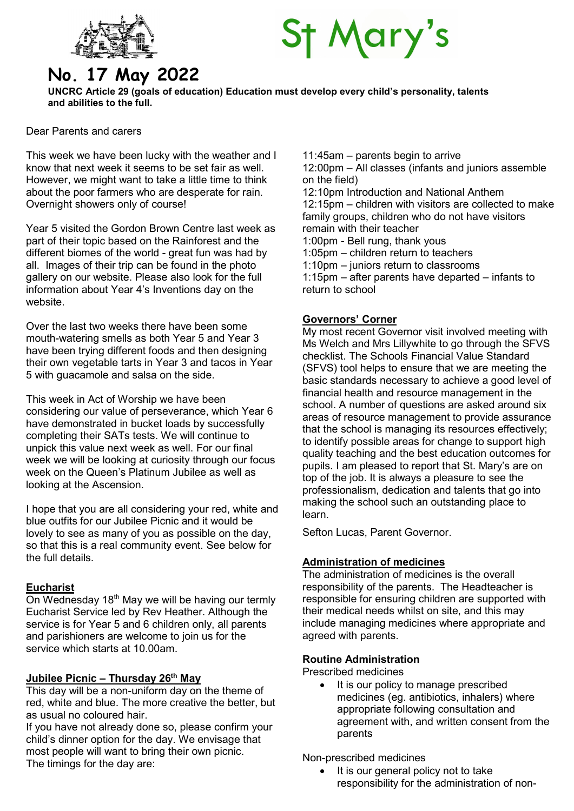

# **St Mary's**

# No. 17 May 2022

UNCRC Article 29 (goals of education) Education must develop every child's personality, talents and abilities to the full.

Dear Parents and carers

This week we have been lucky with the weather and I know that next week it seems to be set fair as well. However, we might want to take a little time to think about the poor farmers who are desperate for rain. Overnight showers only of course!

Year 5 visited the Gordon Brown Centre last week as part of their topic based on the Rainforest and the different biomes of the world - great fun was had by all. Images of their trip can be found in the photo gallery on our website. Please also look for the full information about Year 4's Inventions day on the website.

Over the last two weeks there have been some mouth-watering smells as both Year 5 and Year 3 have been trying different foods and then designing their own vegetable tarts in Year 3 and tacos in Year 5 with guacamole and salsa on the side.

This week in Act of Worship we have been considering our value of perseverance, which Year 6 have demonstrated in bucket loads by successfully completing their SATs tests. We will continue to unpick this value next week as well. For our final week we will be looking at curiosity through our focus week on the Queen's Platinum Jubilee as well as looking at the Ascension.

I hope that you are all considering your red, white and blue outfits for our Jubilee Picnic and it would be lovely to see as many of you as possible on the day, so that this is a real community event. See below for the full details.

# Eucharist

On Wednesday  $18<sup>th</sup>$  May we will be having our termly Eucharist Service led by Rev Heather. Although the service is for Year 5 and 6 children only, all parents and parishioners are welcome to join us for the service which starts at 10.00am.

# Jubilee Picnic – Thursday  $26<sup>th</sup>$  May

This day will be a non-uniform day on the theme of red, white and blue. The more creative the better, but as usual no coloured hair.

If you have not already done so, please confirm your child's dinner option for the day. We envisage that most people will want to bring their own picnic. The timings for the day are:

11:45am – parents begin to arrive

12:00pm – All classes (infants and juniors assemble on the field)

12:10pm Introduction and National Anthem

12:15pm – children with visitors are collected to make family groups, children who do not have visitors remain with their teacher

1:00pm - Bell rung, thank yous

1:05pm – children return to teachers

1:10pm – juniors return to classrooms

1:15pm – after parents have departed – infants to return to school

# Governors' Corner

My most recent Governor visit involved meeting with Ms Welch and Mrs Lillywhite to go through the SFVS checklist. The Schools Financial Value Standard (SFVS) tool helps to ensure that we are meeting the basic standards necessary to achieve a good level of financial health and resource management in the school. A number of questions are asked around six areas of resource management to provide assurance that the school is managing its resources effectively; to identify possible areas for change to support high quality teaching and the best education outcomes for pupils. I am pleased to report that St. Mary's are on top of the job. It is always a pleasure to see the professionalism, dedication and talents that go into making the school such an outstanding place to learn.

Sefton Lucas, Parent Governor.

# Administration of medicines

The administration of medicines is the overall responsibility of the parents. The Headteacher is responsible for ensuring children are supported with their medical needs whilst on site, and this may include managing medicines where appropriate and agreed with parents.

# Routine Administration

Prescribed medicines

• It is our policy to manage prescribed medicines (eg. antibiotics, inhalers) where appropriate following consultation and agreement with, and written consent from the parents

Non-prescribed medicines

 It is our general policy not to take responsibility for the administration of non-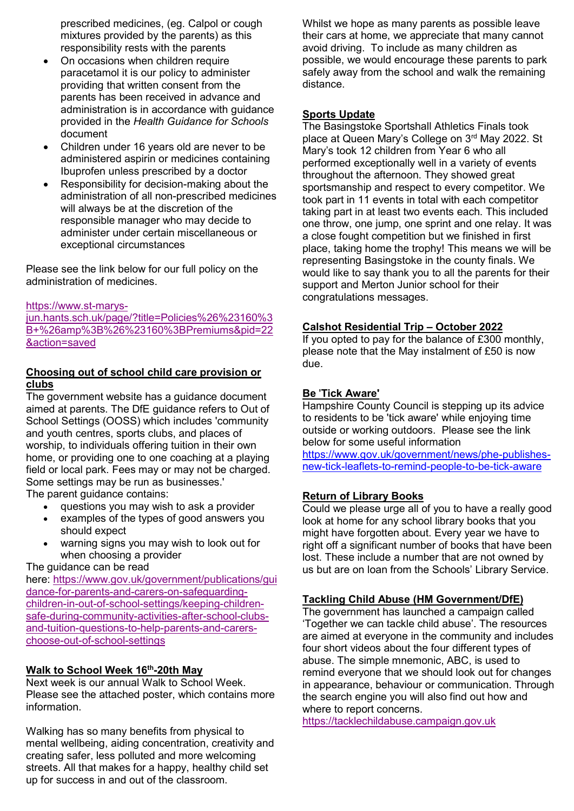prescribed medicines, (eg. Calpol or cough mixtures provided by the parents) as this responsibility rests with the parents

- On occasions when children require paracetamol it is our policy to administer providing that written consent from the parents has been received in advance and administration is in accordance with guidance provided in the Health Guidance for Schools document
- Children under 16 years old are never to be administered aspirin or medicines containing Ibuprofen unless prescribed by a doctor
- Responsibility for decision-making about the administration of all non-prescribed medicines will always be at the discretion of the responsible manager who may decide to administer under certain miscellaneous or exceptional circumstances

Please see the link below for our full policy on the administration of medicines.

#### https://www.st-marys-

jun.hants.sch.uk/page/?title=Policies%26%23160%3 B+%26amp%3B%26%23160%3BPremiums&pid=22 &action=saved

#### Choosing out of school child care provision or clubs

The government website has a guidance document aimed at parents. The DfE guidance refers to Out of School Settings (OOSS) which includes 'community and youth centres, sports clubs, and places of worship, to individuals offering tuition in their own home, or providing one to one coaching at a playing field or local park. Fees may or may not be charged. Some settings may be run as businesses.'

The parent quidance contains:

- questions you may wish to ask a provider
- examples of the types of good answers you should expect
- warning signs you may wish to look out for when choosing a provider

#### The guidance can be read

here: https://www.gov.uk/government/publications/gui dance-for-parents-and-carers-on-safeguardingchildren-in-out-of-school-settings/keeping-childrensafe-during-community-activities-after-school-clubsand-tuition-questions-to-help-parents-and-carerschoose-out-of-school-settings

#### Walk to School Week 16th-20th May

Next week is our annual Walk to School Week. Please see the attached poster, which contains more information.

Walking has so many benefits from physical to mental wellbeing, aiding concentration, creativity and creating safer, less polluted and more welcoming streets. All that makes for a happy, healthy child set up for success in and out of the classroom.

Whilst we hope as many parents as possible leave their cars at home, we appreciate that many cannot avoid driving. To include as many children as possible, we would encourage these parents to park safely away from the school and walk the remaining distance.

#### Sports Update

The Basingstoke Sportshall Athletics Finals took place at Queen Mary's College on 3rd May 2022. St Mary's took 12 children from Year 6 who all performed exceptionally well in a variety of events throughout the afternoon. They showed great sportsmanship and respect to every competitor. We took part in 11 events in total with each competitor taking part in at least two events each. This included one throw, one jump, one sprint and one relay. It was a close fought competition but we finished in first place, taking home the trophy! This means we will be representing Basingstoke in the county finals. We would like to say thank you to all the parents for their support and Merton Junior school for their congratulations messages.

#### Calshot Residential Trip – October 2022

If you opted to pay for the balance of £300 monthly, please note that the May instalment of £50 is now due.

#### Be 'Tick Aware'

Hampshire County Council is stepping up its advice to residents to be 'tick aware' while enjoying time outside or working outdoors. Please see the link below for some useful information

https://www.gov.uk/government/news/phe-publishesnew-tick-leaflets-to-remind-people-to-be-tick-aware

#### Return of Library Books

Could we please urge all of you to have a really good look at home for any school library books that you might have forgotten about. Every year we have to right off a significant number of books that have been lost. These include a number that are not owned by us but are on loan from the Schools' Library Service.

#### Tackling Child Abuse (HM Government/DfE)

The government has launched a campaign called 'Together we can tackle child abuse'. The resources are aimed at everyone in the community and includes four short videos about the four different types of abuse. The simple mnemonic, ABC, is used to remind everyone that we should look out for changes in appearance, behaviour or communication. Through the search engine you will also find out how and where to report concerns.

https://tacklechildabuse.campaign.gov.uk